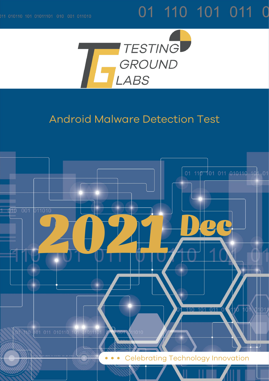# 01 110 101 011 0



## Android Malware Detection Test

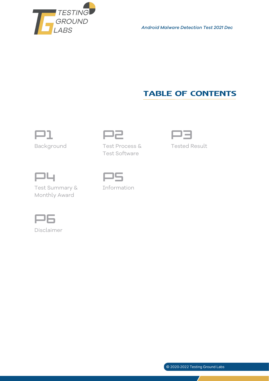

*Android Malware Detection Test 2021 Dec*

### **TABLE OF CONTENTS**





Background Test Process & Test Software



Tested Result



Test Summary & Monthly Award



Information



Disclaimer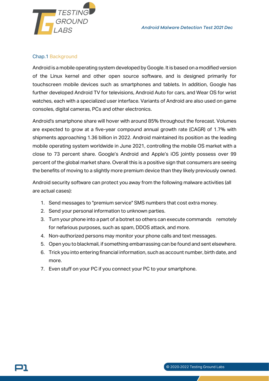

#### Chap.1 Background

וכ

Android is a mobile operating system developed by Google. It is based on a modified version of the Linux kernel and other open source software, and is designed primarily for touchscreen mobile devices such as smartphones and tablets. In addition, Google has further developed Android TV for televisions, Android Auto for cars, and Wear OS for wrist watches, each with a specialized user interface. Variants of Android are also used on game consoles, digital cameras, PCs and other electronics.

Android's smartphone share will hover with around 85% throughout the forecast. Volumes are expected to grow at a five-year compound annual growth rate (CAGR) of 1.7% with shipments approaching 1.36 billion in 2022. Android maintained its position as the leading mobile operating system worldwide in June 2021, controlling the mobile OS market with a close to 73 percent share. Google's Android and Apple's iOS jointly possess over 99 percent of the global market share. Overall this is a positive sign that consumers are seeing the benefits of moving to a slightly more premium device than they likely previously owned.

Android security software can protect you away from the following malware activities (all are actual cases):

- 1. Send messages to "premium service" SMS numbers that cost extra money.
- 2. Send your personal information to unknown parties.
- 3. Turn your phone into a part of a botnet so others can execute commands remotely for nefarious purposes, such as spam, DDOS attack, and more.
- 4. Non-authorized persons may monitor your phone calls and text messages.
- 5. Open you to blackmail, if something embarrassing can be found and sent elsewhere.
- 6. Trick you into entering financial information, such as account number, birth date, and more.
- 7. Even stuff on your PC if you connect your PC to your smartphone.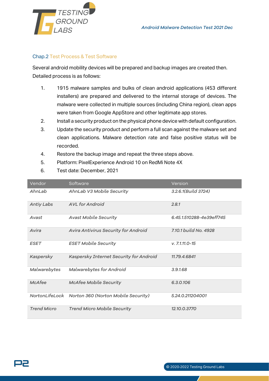

#### Chap.2 Test Process & Test Software

Several android mobility devices will be prepared and backup images are created then. Detailed process is as follows:

- 1. 1915 malware samples and bulks of clean android applications (453 different installers) are prepared and delivered to the internal storage of devices. The malware were collected in multiple sources (including China region), clean apps were taken from Google AppStore and other legitimate app stores.
- 2. Install a security product on the physical phone device with default configuration.
- 3. Update the security product and perform a full scan against the malware set and clean applications. Malware detection rate and false positive status will be recorded.
- 4. Restore the backup image and repeat the three steps above.
- 5. Platform: PixelExperience Android 10 on RedMi Note 4X
- 6. Test date: December, 2021

| Vendor             | Software                                           | Version                  |
|--------------------|----------------------------------------------------|--------------------------|
| AhnLab             | AhnLab V3 Mobile Security                          | 3.2.6.1(Build 3724)      |
| <b>Antiy Labs</b>  | AVL for Android                                    | 2.8.1                    |
| Avast              | <b>Avast Mobile Security</b>                       | 6.45.1.510288-4e39eff745 |
| Avira              | Avira Antivirus Security for Android               | 7.10.1 build No. 4928    |
| <b>ESET</b>        | <b>ESET Mobile Security</b>                        | $v. 7.1.11.0 - 15$       |
| Kaspersky          | Kaspersky Internet Security for Android            | 11.79.4.6841             |
| Malwarebytes       | Malwarebytes for Android                           | 3.9.168                  |
| McAfee             | <b>McAfee Mobile Security</b>                      | 6.3.0.106                |
|                    | NortonLifeLock Norton 360 (Norton Mobile Security) | 5.24.0.211204001         |
| <b>Trend Micro</b> | <b>Trend Micro Mobile Security</b>                 | 12.10.0.3770             |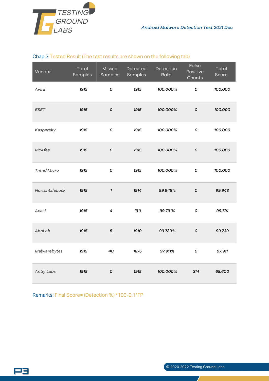

#### Chap.3 Tested Result (The test results are shown on the following tab)

| Vendor             | Total<br>Samples | Missed<br>Samples   | Detected<br>Samples | Detection<br>Rate | False<br>Positive<br>Counts | Total<br>Score |
|--------------------|------------------|---------------------|---------------------|-------------------|-----------------------------|----------------|
| Avira              | 1915             | 0                   | 1915                | 100.000%          | 0                           | 100.000        |
| <b>ESET</b>        | 1915             | $\pmb{\mathit{o}}$  | 1915                | 100.000%          | $\pmb{\mathit{o}}$          | 100.000        |
| Kaspersky          | 1915             | $\pmb{\mathit{o}}$  | 1915                | 100.000%          | $\pmb{\mathit{o}}$          | 100.000        |
| <b>McAfee</b>      | 1915             | $\pmb{\mathit{o}}$  | 1915                | 100.000%          | 0                           | 100.000        |
| <b>Trend Micro</b> | 1915             | O                   | 1915                | 100.000%          | 0                           | 100.000        |
| NortonLifeLock     | 1915             | $\boldsymbol{\eta}$ | 1914                | 99.948%           | $\boldsymbol{O}$            | 99.948         |
| Avast              | 1915             | 4                   | 1911                | 99.791%           | 0                           | 99.791         |
| AhnLab             | 1915             | $\sqrt{5}$          | 1910                | 99.739%           | $\pmb{\mathit{O}}$          | 99.739         |
| Malwarebytes       | 1915             | 40                  | 1875                | 97.911%           | 0                           | 97.911         |
| Antiy Labs         | 1915             | 0                   | 1915                | 100.000%          | 314                         | 68.600         |

Remarks: Final Score= (Detection %) \*100-0.1\*FP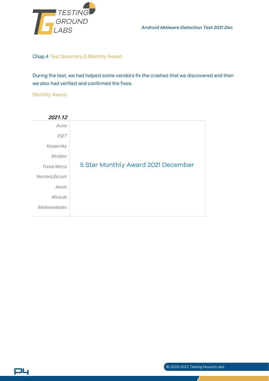

*Android Malware Detection Test 2021 Dec*

#### Chap.4 Test Summary & Monthly Award

During the test, we had helped some vendors fix the crashes that we discovered and then we also had verified and confirmed the fixes.

#### Monthly Award

P4

| 2021.12            |                                    |
|--------------------|------------------------------------|
| Avira              |                                    |
| <b>ESET</b>        |                                    |
| Kaspersky          |                                    |
| McAfee             |                                    |
| <b>Trend Micro</b> | 5 Star Monthly Award 2021 December |
| NortonLifeLock     |                                    |
| Avast              |                                    |
| AhnLab             |                                    |
| Malwarebytes       |                                    |
|                    |                                    |

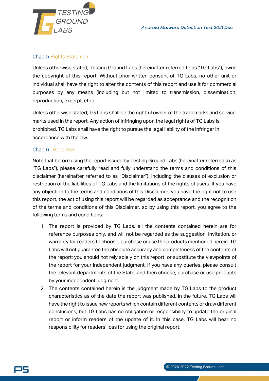

#### Chap.5 Rights Statement

Unless otherwise stated, Testing Ground Labs (hereinafter referred to as "TG Labs"), owns the copyright of this report. Without prior written consent of TG Labs, no other unit or individual shall have the right to alter the contents of this report and use it for commercial purposes by any means (including but not limited to transmission, dissemination, reproduction, excerpt, etc.).

Unless otherwise stated, TG Labs shall be the rightful owner of the trademarks and service marks used in the report. Any action of infringing upon the legal rights of TG Labs is prohibited. TG Labs shall have the right to pursue the legal liability of the infringer in accordance with the law.

#### Chap.6 Disclaimer

Note that before using the report issued by Testing Ground Labs (hereinafter referred to as "TG Labs"), please carefully read and fully understand the terms and conditions of this disclaimer (hereinafter referred to as "Disclaimer"), including the clauses of exclusion or restriction of the liabilities of TG Labs and the limitations of the rights of users. If you have any objection to the terms and conditions of this Disclaimer, you have the right not to use this report, the act of using this report will be regarded as acceptance and the recognition of the terms and conditions of this Disclaimer, so by using this report, you agree to the following terms and conditions:

- 1. The report is provided by TG Labs, all the contents contained herein are for reference purposes only, and will not be regarded as the suggestion, invitation, or warranty for readers to choose, purchase or use the products mentioned herein. TG Labs will not guarantee the absolute accuracy and completeness of the contents of the report; you should not rely solely on this report, or substitute the viewpoints of the report for your independent judgment. If you have any queries, please consult the relevant departments of the State, and then choose, purchase or use products by your independent judgment.
- 2. The contents contained herein is the judgment made by TG Labs to the product characteristics as of the date the report was published. In the future, TG Labs will have the right to issue new reports which contain different contents or draw different conclusions, but TG Labs has no obligation or responsibility to update the original report or inform readers of the update of it. In this case, TG Labs will bear no responsibility for readers' loss for using the original report.